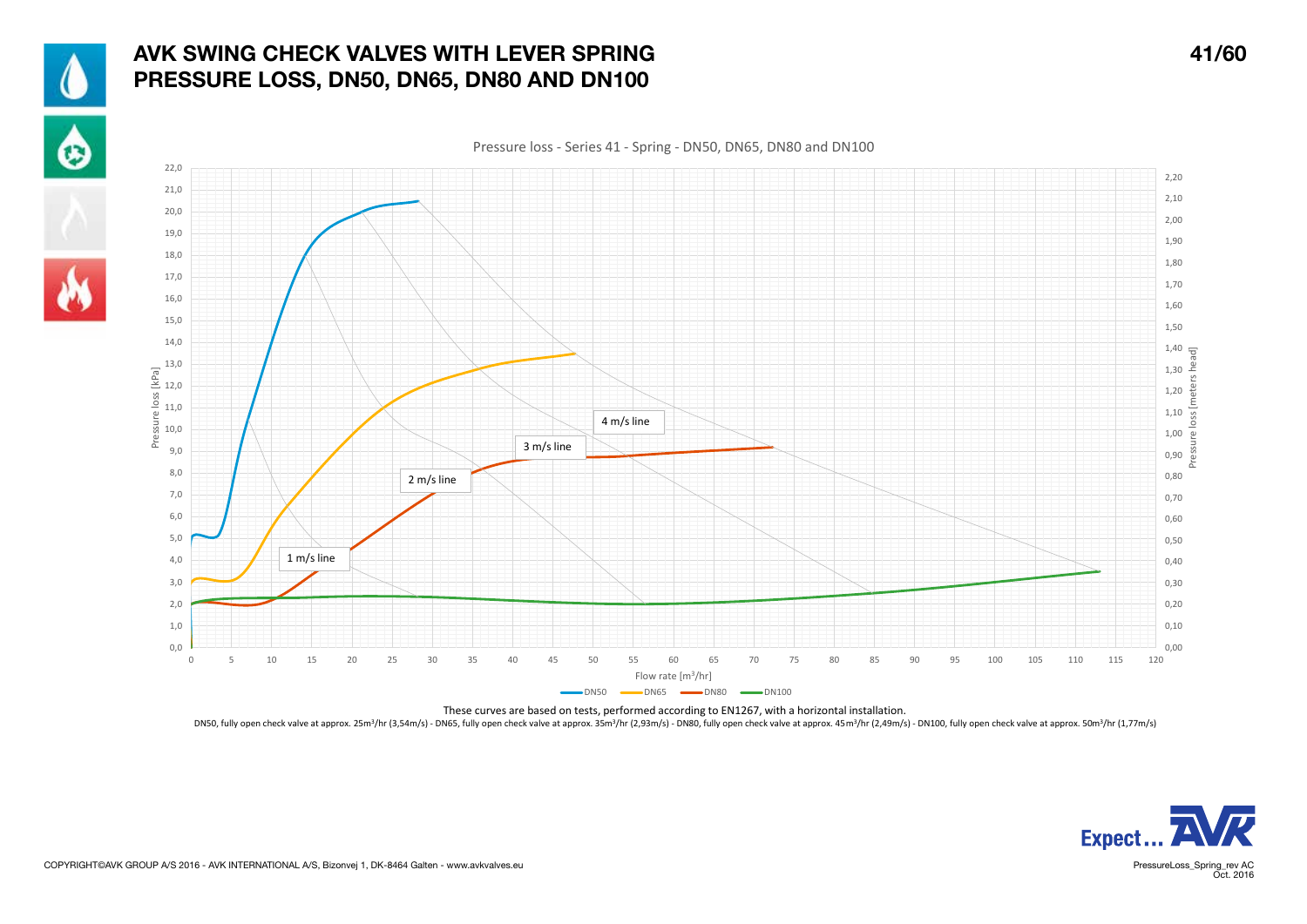

♦



Pressure loss - Series 41 - Spring - DN50, DN65, DN80 and DN100 22,0 2,20 21,0 2,10 20,0 2,00 19,0 1,90 18,0 1,80 17,0 1,70 16,0 1,60 15,0 1,50 14,0  $1,40$   $\frac{1}{5}$ Pressure loss [meters head] 13,0  $1,30 \div$ Pressure loss [kPa] 12,0 1,20 11,0 1,10 4 m/s line 10,0 1,00  $\overline{a}$ 3 m/s line 9,0  $0,90$   $\frac{55}{60}$ 8,0 0,80 2 m/s line 7,0 0,70 6,0 0,60 5,0 0,50 1 m/s line 4,0 0,40 3,0 0,30 2,0 0,20 0,10 1,0  $0<sub>0</sub>$ 0,00 0 5 10 15 20 25 30 35 40 45 50 55 60 65 70 75 80 85 90 95 100 105 110 115 120 Flow rate [m3/hr]  $-DNS0$   $-DN65$   $-DN80$   $-DN100$ 

These curves are based on tests, performed according to EN1267, with a horizontal installation. DN50, fully open check valve at approx. 25m<sup>3</sup>/hr (3,54m/s) - DN65, fully open check valve at approx. 35m<sup>3</sup>/hr (2,93m/s) - DN80, fully open check valve at approx. 45 m<sup>3</sup>/hr (2,49m/s) - DN100, fully open check valve at ap



PressureLoss\_Spring\_rev AC<br>Oct. 2016

COPYRIGHT©AVK GROUP A/S 2016 - AVK INTERNATIONAL A/S, Bizonvej 1, DK-8464 Galten - www.avkvalves.eu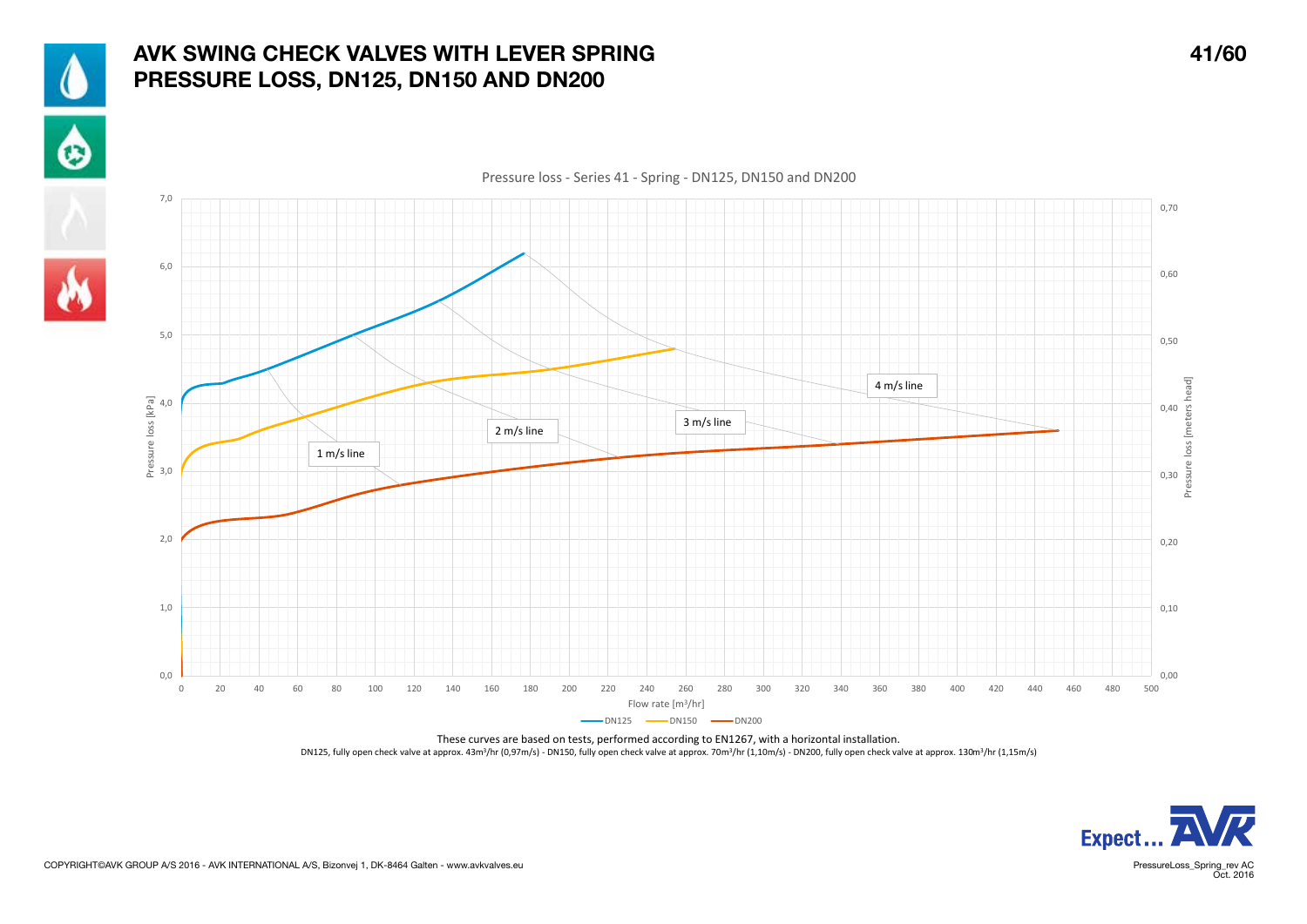

## AVK SWING CHECK VALVES WITH LEVER SPRING 41/60 PRESSURE LOSS, DN125, DN150 AND DN200





These curves are based on tests, performed according to EN1267, with a horizontal installation. DN125, fully open check valve at approx. 43m<sup>3</sup>/hr (0,97m/s) - DN150, fully open check valve at approx. 70m<sup>3</sup>/hr (1,10m/s) - DN200, fully open check valve at approx. 130m<sup>3</sup>/hr (1,15m/s)



PressureLoss\_Spring\_rev AC<br>Oct. 2016